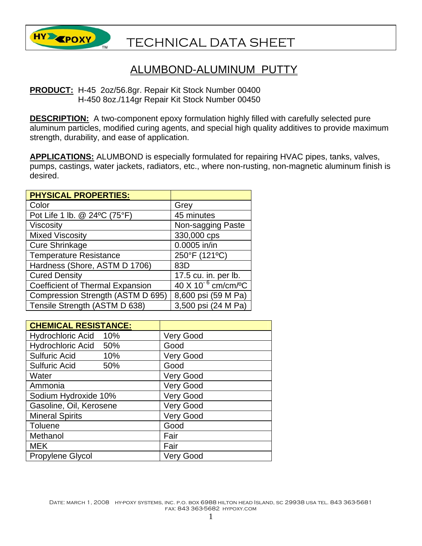

## TECHNICAL DATA SHEET

## ALUMBOND-ALUMINUM PUTTY

## **PRODUCT:** H-45 2oz/56.8gr. Repair Kit Stock Number 00400 H-450 8oz./114gr Repair Kit Stock Number 00450

**DESCRIPTION:** A two-component epoxy formulation highly filled with carefully selected pure aluminum particles, modified curing agents, and special high quality additives to provide maximum strength, durability, and ease of application.

**APPLICATIONS:** ALUMBOND is especially formulated for repairing HVAC pipes, tanks, valves, pumps, castings, water jackets, radiators, etc., where non-rusting, non-magnetic aluminum finish is desired.

| <b>PHYSICAL PROPERTIES:</b>             |                                           |
|-----------------------------------------|-------------------------------------------|
| Color                                   | Grey                                      |
| Pot Life 1 lb. @ 24°C (75°F)            | 45 minutes                                |
| <b>Viscosity</b>                        | Non-sagging Paste                         |
| <b>Mixed Viscosity</b>                  | 330,000 cps                               |
| <b>Cure Shrinkage</b>                   | 0.0005 in/in                              |
| <b>Temperature Resistance</b>           | 250°F (121°C)                             |
| Hardness (Shore, ASTM D 1706)           | 83D                                       |
| <b>Cured Density</b>                    | 17.5 cu. in. per lb.                      |
| <b>Coefficient of Thermal Expansion</b> | $40 \times 10^{-6}$ cm/cm/ <sup>o</sup> C |
| Compression Strength (ASTM D 695)       | 8,600 psi (59 M Pa)                       |
| Tensile Strength (ASTM D 638)           | 3,500 psi (24 M Pa)                       |

| <b>CHEMICAL RESISTANCE:</b>     |                  |
|---------------------------------|------------------|
| <b>Hydrochloric Acid</b><br>10% | <b>Very Good</b> |
| Hydrochloric Acid 50%           | Good             |
| <b>Sulfuric Acid</b><br>10%     | <b>Very Good</b> |
| <b>Sulfuric Acid</b><br>50%     | Good             |
| Water                           | <b>Very Good</b> |
| Ammonia                         | <b>Very Good</b> |
| Sodium Hydroxide 10%            | <b>Very Good</b> |
| Gasoline, Oil, Kerosene         | <b>Very Good</b> |
| <b>Mineral Spirits</b>          | <b>Very Good</b> |
| Toluene                         | Good             |
| Methanol                        | Fair             |
| <b>MEK</b>                      | Fair             |
| <b>Propylene Glycol</b>         | <b>Very Good</b> |

DATE: MARCH 1, 2008 HY-POXY SYSTEMS, INC. P.O. BOX 6988 HILTON HEAD ISLAND, SC 29938 USA TEL. 843 363-5681 fax: 843 363-5682 hypoxy.com